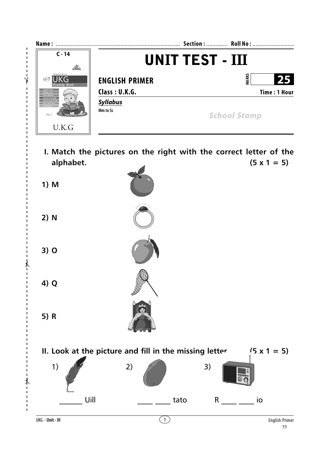

 $\mathbf{I}$  $\mathbf I$  $\mathbf{I}$ 

 $\mathbf{I}$ 

 $\overline{1}$ 

 $\blacksquare$